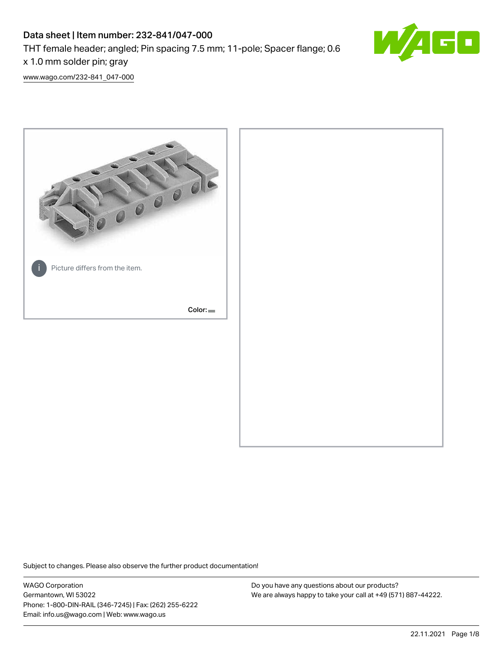# Data sheet | Item number: 232-841/047-000

THT female header; angled; Pin spacing 7.5 mm; 11-pole; Spacer flange; 0.6

x 1.0 mm solder pin; gray

[www.wago.com/232-841\\_047-000](http://www.wago.com/232-841_047-000)



Subject to changes. Please also observe the further product documentation!

WAGO Corporation Germantown, WI 53022 Phone: 1-800-DIN-RAIL (346-7245) | Fax: (262) 255-6222 Email: info.us@wago.com | Web: www.wago.us

Do you have any questions about our products? We are always happy to take your call at +49 (571) 887-44222.

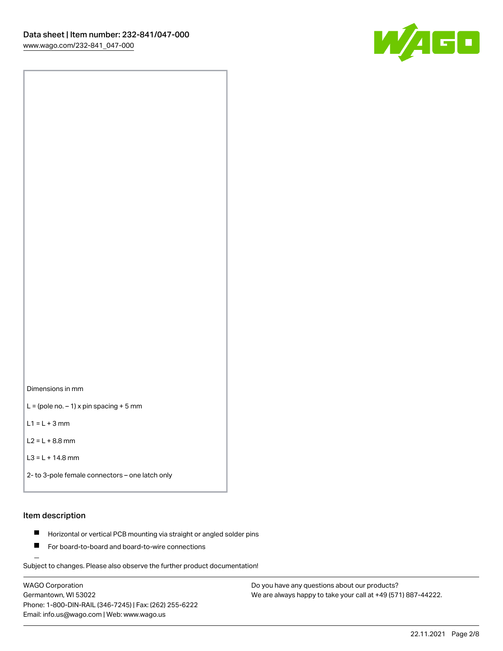

Dimensions in mm

 $L =$  (pole no.  $-1$ ) x pin spacing + 5 mm

 $L1 = L + 3$  mm

 $L2 = L + 8.8$  mm

```
L3 = L + 14.8 mm
```

```
2- to 3-pole female connectors – one latch only
```
# Item description

- **Horizontal or vertical PCB mounting via straight or angled solder pins**
- For board-to-board and board-to-wire connections

Subject to changes. Please also observe the further product documentation!

WAGO Corporation Germantown, WI 53022 Phone: 1-800-DIN-RAIL (346-7245) | Fax: (262) 255-6222 Email: info.us@wago.com | Web: www.wago.us

Do you have any questions about our products? We are always happy to take your call at +49 (571) 887-44222.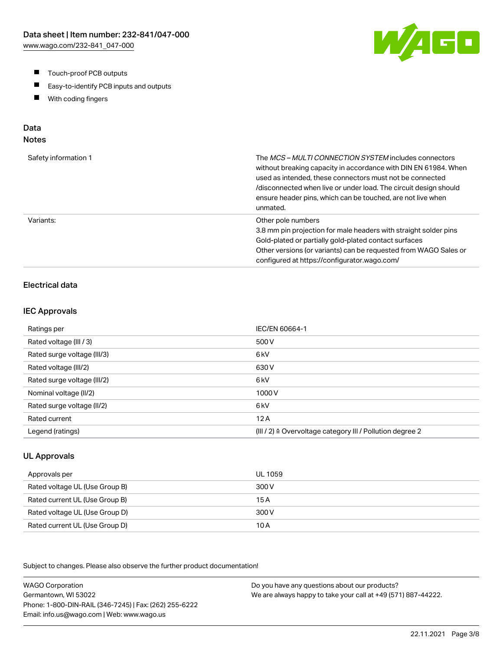- $\blacksquare$ Touch-proof PCB outputs
- $\blacksquare$ Easy-to-identify PCB inputs and outputs
- With coding fingers  $\blacksquare$

# Data

# Notes

| Safety information 1 | The <i>MCS – MULTI CONNECTION SYSTEM</i> includes connectors<br>without breaking capacity in accordance with DIN EN 61984. When<br>used as intended, these connectors must not be connected<br>/disconnected when live or under load. The circuit design should<br>ensure header pins, which can be touched, are not live when<br>unmated. |
|----------------------|--------------------------------------------------------------------------------------------------------------------------------------------------------------------------------------------------------------------------------------------------------------------------------------------------------------------------------------------|
| Variants:            | Other pole numbers<br>3.8 mm pin projection for male headers with straight solder pins<br>Gold-plated or partially gold-plated contact surfaces<br>Other versions (or variants) can be requested from WAGO Sales or<br>configured at https://configurator.wago.com/                                                                        |

## Electrical data

#### IEC Approvals

| Ratings per                 | IEC/EN 60664-1                                                       |
|-----------------------------|----------------------------------------------------------------------|
| Rated voltage (III / 3)     | 500 V                                                                |
| Rated surge voltage (III/3) | 6 <sub>kV</sub>                                                      |
| Rated voltage (III/2)       | 630 V                                                                |
| Rated surge voltage (III/2) | 6 <sub>k</sub> V                                                     |
| Nominal voltage (II/2)      | 1000V                                                                |
| Rated surge voltage (II/2)  | 6 <sub>k</sub> V                                                     |
| Rated current               | 12A                                                                  |
| Legend (ratings)            | (III / 2) $\triangleq$ Overvoltage category III / Pollution degree 2 |

#### UL Approvals

| Approvals per                  | UL 1059 |
|--------------------------------|---------|
| Rated voltage UL (Use Group B) | 300 V   |
| Rated current UL (Use Group B) | 15 A    |
| Rated voltage UL (Use Group D) | 300 V   |
| Rated current UL (Use Group D) | 10 A    |

Subject to changes. Please also observe the further product documentation!

WAGO Corporation Germantown, WI 53022 Phone: 1-800-DIN-RAIL (346-7245) | Fax: (262) 255-6222 Email: info.us@wago.com | Web: www.wago.us Do you have any questions about our products? We are always happy to take your call at +49 (571) 887-44222.

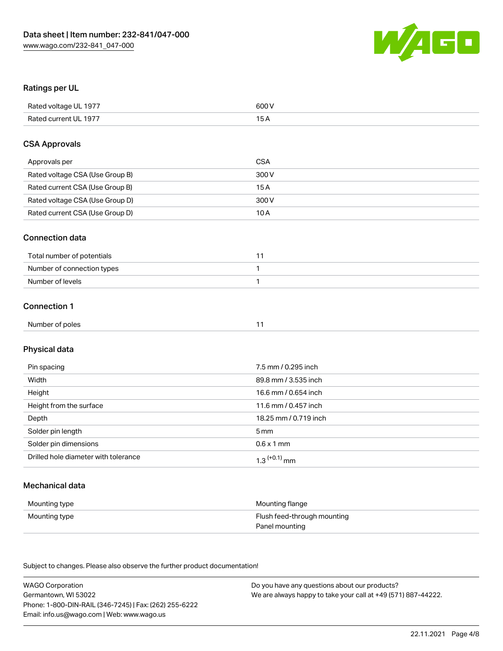

### Ratings per UL

| Rated voltage UL 1977 | 600 V |
|-----------------------|-------|
| Rated current UL 1977 |       |

#### CSA Approvals

| Approvals per                   | CSA   |
|---------------------------------|-------|
| Rated voltage CSA (Use Group B) | 300 V |
| Rated current CSA (Use Group B) | 15 A  |
| Rated voltage CSA (Use Group D) | 300 V |
| Rated current CSA (Use Group D) | 10 A  |

#### Connection data

| Total number of potentials |  |
|----------------------------|--|
| Number of connection types |  |
| Number of levels           |  |

## Connection 1

| Number of poles |  |
|-----------------|--|
|-----------------|--|

# Physical data

| Pin spacing                          | 7.5 mm / 0.295 inch   |
|--------------------------------------|-----------------------|
| Width                                | 89.8 mm / 3.535 inch  |
| Height                               | 16.6 mm / 0.654 inch  |
| Height from the surface              | 11.6 mm / 0.457 inch  |
| Depth                                | 18.25 mm / 0.719 inch |
| Solder pin length                    | 5 mm                  |
| Solder pin dimensions                | $0.6 \times 1$ mm     |
| Drilled hole diameter with tolerance | $1.3$ $(+0.1)$ mm     |

## Mechanical data

| Mounting type | Mounting flange             |
|---------------|-----------------------------|
| Mounting type | Flush feed-through mounting |
|               | Panel mounting              |

Subject to changes. Please also observe the further product documentation!

| <b>WAGO Corporation</b>                                | Do you have any questions about our products?                 |
|--------------------------------------------------------|---------------------------------------------------------------|
| Germantown, WI 53022                                   | We are always happy to take your call at +49 (571) 887-44222. |
| Phone: 1-800-DIN-RAIL (346-7245)   Fax: (262) 255-6222 |                                                               |
| Email: info.us@wago.com   Web: www.wago.us             |                                                               |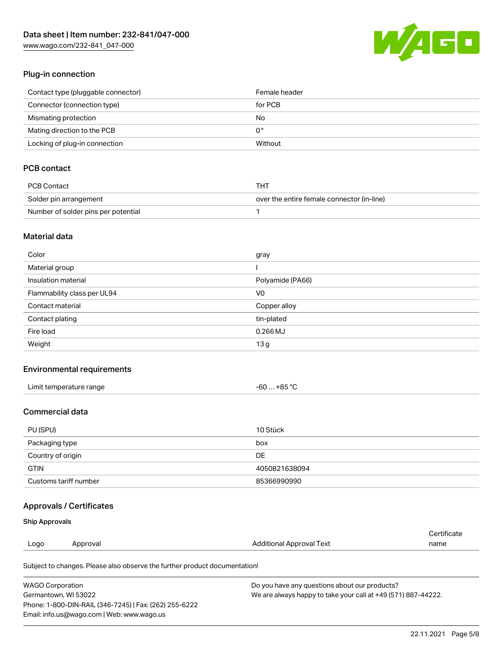[www.wago.com/232-841\\_047-000](http://www.wago.com/232-841_047-000)



### Plug-in connection

| Contact type (pluggable connector) | Female header |
|------------------------------------|---------------|
| Connector (connection type)        | for PCB       |
| Mismating protection               | No            |
| Mating direction to the PCB        | 0°            |
| Locking of plug-in connection      | Without       |

# PCB contact

| PCB Contact                         | THT                                        |
|-------------------------------------|--------------------------------------------|
| Solder pin arrangement              | over the entire female connector (in-line) |
| Number of solder pins per potential |                                            |

### Material data

| Color                       | gray             |
|-----------------------------|------------------|
| Material group              |                  |
| Insulation material         | Polyamide (PA66) |
| Flammability class per UL94 | V <sub>0</sub>   |
| Contact material            | Copper alloy     |
| Contact plating             | tin-plated       |
| Fire load                   | $0.266$ MJ       |
| Weight                      | 13g              |

#### Environmental requirements

| Limit temperature range | $-60+85 °C$ |
|-------------------------|-------------|
|-------------------------|-------------|

## Commercial data

| PU (SPU)              | 10 Stück      |
|-----------------------|---------------|
| Packaging type        | box           |
| Country of origin     | DE            |
| <b>GTIN</b>           | 4050821638094 |
| Customs tariff number | 85366990990   |

## Approvals / Certificates

#### Ship Approvals

| Logo | Approval | Additional Approval Text | name        |
|------|----------|--------------------------|-------------|
|      |          |                          | Certificate |

Subject to changes. Please also observe the further product documentation!

| <b>WAGO Corporation</b>                                | Do you have any questions about our products?                 |
|--------------------------------------------------------|---------------------------------------------------------------|
| Germantown, WI 53022                                   | We are always happy to take your call at +49 (571) 887-44222. |
| Phone: 1-800-DIN-RAIL (346-7245)   Fax: (262) 255-6222 |                                                               |
| Email: info.us@wago.com   Web: www.wago.us             |                                                               |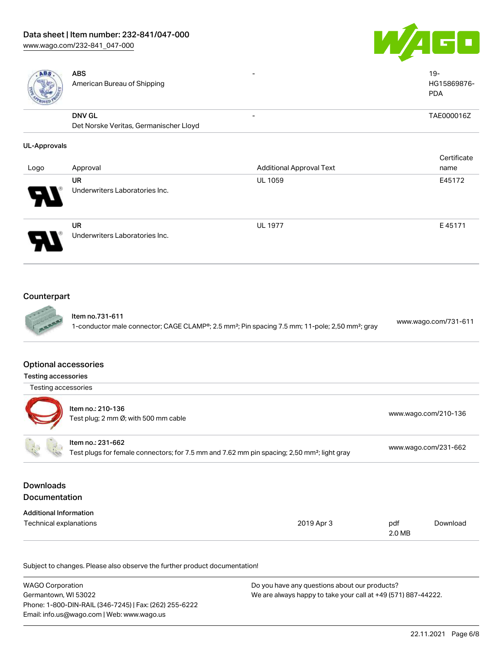# Data sheet | Item number: 232-841/047-000

[www.wago.com/232-841\\_047-000](http://www.wago.com/232-841_047-000)





| ABS.                        | <b>ABS</b><br>American Bureau of Shipping                                                               | $\overline{\phantom{a}}$                                                                                                | $19 -$<br>HG15869876-<br><b>PDA</b> |
|-----------------------------|---------------------------------------------------------------------------------------------------------|-------------------------------------------------------------------------------------------------------------------------|-------------------------------------|
|                             | <b>DNV GL</b>                                                                                           | $\overline{\phantom{a}}$                                                                                                | TAE000016Z                          |
|                             | Det Norske Veritas, Germanischer Lloyd                                                                  |                                                                                                                         |                                     |
| <b>UL-Approvals</b>         |                                                                                                         |                                                                                                                         |                                     |
|                             |                                                                                                         |                                                                                                                         | Certificate                         |
| Logo                        | Approval                                                                                                | <b>Additional Approval Text</b>                                                                                         | name                                |
|                             | <b>UR</b>                                                                                               | <b>UL 1059</b>                                                                                                          | E45172                              |
|                             | Underwriters Laboratories Inc.                                                                          |                                                                                                                         |                                     |
|                             | <b>UR</b>                                                                                               | <b>UL 1977</b>                                                                                                          | E45171                              |
|                             | Underwriters Laboratories Inc.                                                                          |                                                                                                                         |                                     |
| Counterpart                 |                                                                                                         |                                                                                                                         |                                     |
|                             | Item no.731-611                                                                                         | 1-conductor male connector; CAGE CLAMP®; 2.5 mm <sup>2</sup> ; Pin spacing 7.5 mm; 11-pole; 2,50 mm <sup>2</sup> ; gray | www.wago.com/731-611                |
| <b>Optional accessories</b> |                                                                                                         |                                                                                                                         |                                     |
| <b>Testing accessories</b>  |                                                                                                         |                                                                                                                         |                                     |
| Testing accessories         |                                                                                                         |                                                                                                                         |                                     |
|                             | Item no.: 210-136                                                                                       |                                                                                                                         |                                     |
|                             | Test plug; 2 mm Ø; with 500 mm cable                                                                    |                                                                                                                         | www.wago.com/210-136                |
|                             | Item no.: 231-662                                                                                       |                                                                                                                         | www.wago.com/231-662                |
|                             | Test plugs for female connectors; for 7.5 mm and 7.62 mm pin spacing; 2,50 mm <sup>2</sup> ; light gray |                                                                                                                         |                                     |

## Downloads Documentation

| _ _ _ _ _                     |            |        |          |
|-------------------------------|------------|--------|----------|
| <b>Additional Information</b> |            |        |          |
| Technical explanations        | 2019 Apr 3 | pdf    | Download |
|                               |            | 2.0 MB |          |

Subject to changes. Please also observe the further product documentation!

| <b>WAGO Corporation</b>                                | Do you have any questions about our products?                 |
|--------------------------------------------------------|---------------------------------------------------------------|
| Germantown, WI 53022                                   | We are always happy to take your call at +49 (571) 887-44222. |
| Phone: 1-800-DIN-RAIL (346-7245)   Fax: (262) 255-6222 |                                                               |
| Email: info.us@wago.com   Web: www.wago.us             |                                                               |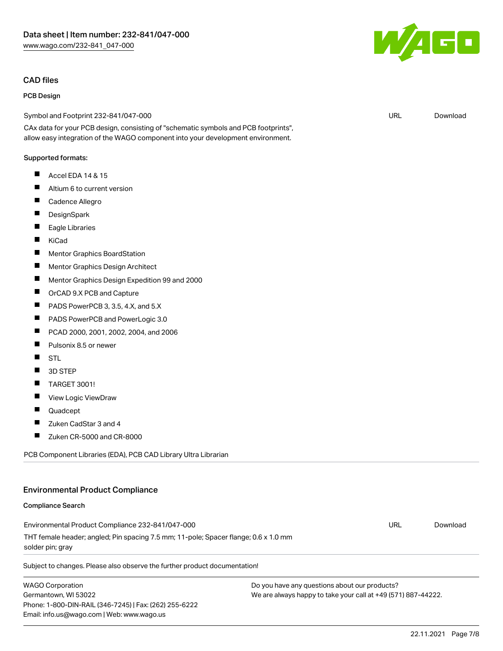#### CAD files

#### PCB Design

Symbol and Footprint 232-841/047-000

CAx data for your PCB design, consisting of "schematic symbols and PCB footprints", allow easy integration of the WAGO component into your development environment.

#### Supported formats:

- $\blacksquare$ Accel EDA 14 & 15
- $\blacksquare$ Altium 6 to current version
- П Cadence Allegro
- П **DesignSpark**
- $\blacksquare$ Eagle Libraries
- $\blacksquare$ KiCad
- $\blacksquare$ Mentor Graphics BoardStation
- $\blacksquare$ Mentor Graphics Design Architect
- П Mentor Graphics Design Expedition 99 and 2000
- П OrCAD 9.X PCB and Capture
- **The State** PADS PowerPCB 3, 3.5, 4.X, and 5.X
- $\blacksquare$ PADS PowerPCB and PowerLogic 3.0
- $\blacksquare$ PCAD 2000, 2001, 2002, 2004, and 2006
- П Pulsonix 8.5 or newer
- П STL
- П 3D STEP
- П TARGET 3001!
- $\blacksquare$ View Logic ViewDraw
- П Quadcept
- П Zuken CadStar 3 and 4
- $\blacksquare$ Zuken CR-5000 and CR-8000

PCB Component Libraries (EDA), PCB CAD Library Ultra Librarian

#### Environmental Product Compliance

#### Compliance Search

Environmental Product Compliance 232-841/047-000 THT female header; angled; Pin spacing 7.5 mm; 11-pole; Spacer flange; 0.6 x 1.0 mm solder pin; gray

Subject to changes. Please also observe the further product documentation!

WAGO Corporation Germantown, WI 53022 Phone: 1-800-DIN-RAIL (346-7245) | Fax: (262) 255-6222 Email: info.us@wago.com | Web: www.wago.us

Do you have any questions about our products? We are always happy to take your call at +49 (571) 887-44222.



URL [Download](https://www.wago.com/global/d/UltraLibrarian_URLS_232-841_047-000)

URL [Download](https://www.wago.com/global/d/ComplianceLinkMediaContainer_232-841_047-000)